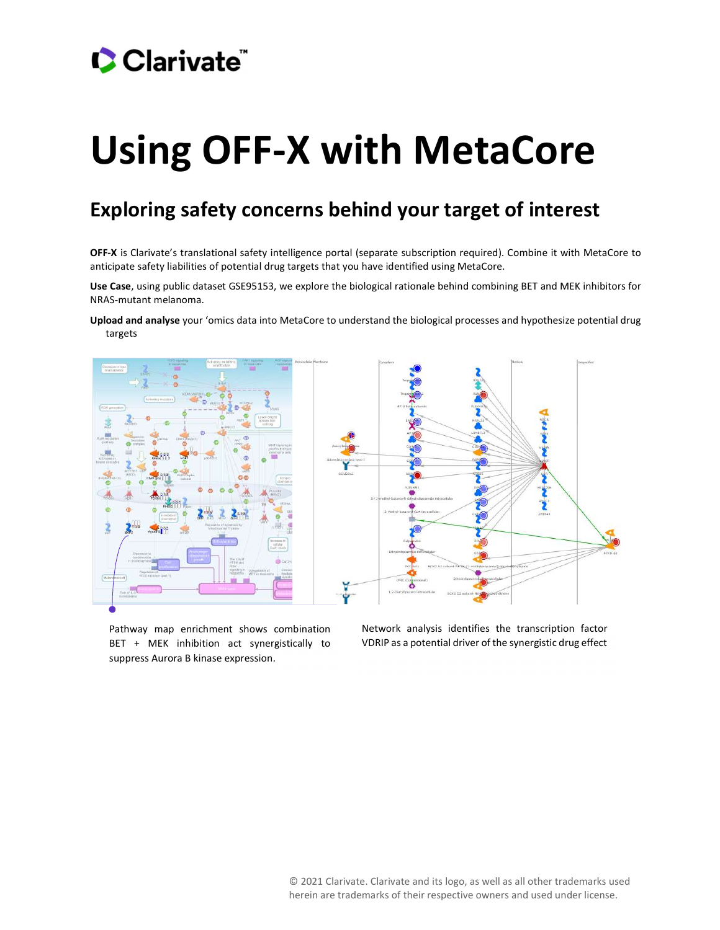# Using OFF-X with MetaCore

### Exploring safety concerns behind your target of interest

OFF-X is Clarivate's translational safety intelligence portal (separate subscription required). Combine it with MetaCore to anticipate safety liabilities of potential drug targets that you have identified using MetaCore.

Use Case, using public dataset GSE95153, we explore the biological rationale behind combining BET and MEK inhibitors for NRAS-mutant melanoma.

Upload and analyse your 'omics data into MetaCore to understand the biological processes and hypothesize potential drug targets



Pathway map enrichment shows combination Metwork an<br>
BET + MEK inhibition act synergistically to VDRIP as a propress Aurora B kinase expression. BET + MEK inhibition act synergistically to suppress Aurora B kinase expression.

Network analysis identifies the transcription factor VDRIP as a potential driver of the synergistic drug effect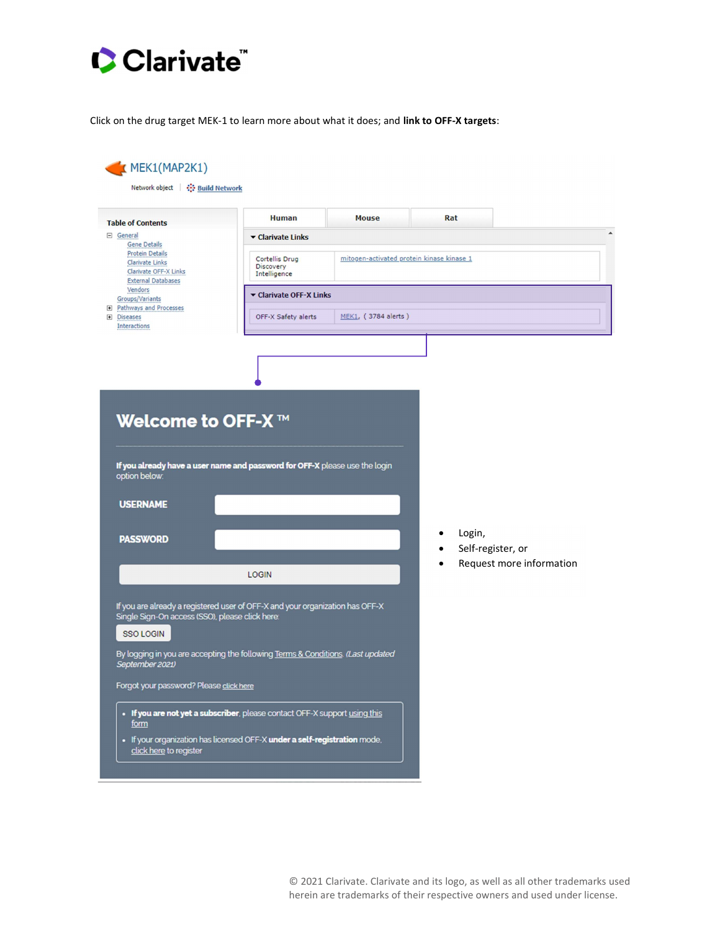Click on the drug target MEK-1 to learn more about what it does; and link to OFF-X targets:

| <b>Table of Contents</b>                                                                                                          | <b>Human</b>                                                                                                                                                     | <b>Mouse</b>                              | Rat |                             |                          |  |  |  |
|-----------------------------------------------------------------------------------------------------------------------------------|------------------------------------------------------------------------------------------------------------------------------------------------------------------|-------------------------------------------|-----|-----------------------------|--------------------------|--|--|--|
| □ General                                                                                                                         | ▼ Clarivate Links                                                                                                                                                |                                           |     |                             |                          |  |  |  |
| <b>Gene Details</b><br><b>Protein Details</b><br><b>Clarivate Links</b><br>Clarivate OFF-X Links<br><b>External Databases</b>     | Cortellis Drug<br>Discovery<br>Intelligence                                                                                                                      | mitogen-activated protein kinase kinase 1 |     |                             |                          |  |  |  |
| Vendors<br>Groups/Variants                                                                                                        |                                                                                                                                                                  | ▼ Clarivate OFF-X Links                   |     |                             |                          |  |  |  |
| <b>El Pathways and Processes</b><br><b>E</b> Diseases<br><b>Interactions</b>                                                      | OFF-X Safety alerts                                                                                                                                              | MEK1, (3784 alerts)                       |     |                             |                          |  |  |  |
|                                                                                                                                   |                                                                                                                                                                  |                                           |     |                             |                          |  |  |  |
|                                                                                                                                   | If you already have a user name and password for OFF-X please use the login                                                                                      |                                           |     |                             |                          |  |  |  |
|                                                                                                                                   |                                                                                                                                                                  |                                           |     |                             |                          |  |  |  |
|                                                                                                                                   |                                                                                                                                                                  |                                           |     | Login,<br>Self-register, or |                          |  |  |  |
| Welcome to OFF-X ™<br>option below:<br><b>USERNAME</b><br><b>PASSWORD</b>                                                         | <b>LOGIN</b>                                                                                                                                                     |                                           |     |                             | Request more information |  |  |  |
| Single Sign-On access (SSO), please click here:<br><b>SSO LOGIN</b><br>September 2021)<br>Forgot your password? Please click here | If you are already a registered user of OFF-X and your organization has OFF-X<br>By logging in you are accepting the following Terms & Conditions. (Last updated |                                           |     |                             |                          |  |  |  |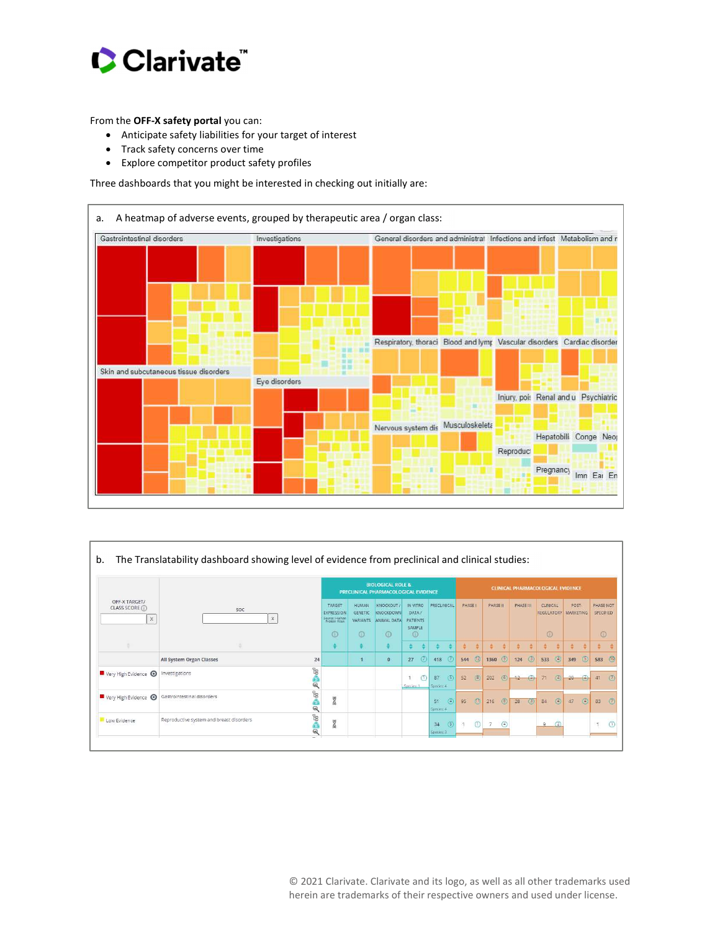

From the OFF-X safety portal you can:

- Anticipate safety liabilities for your target of interest
- Track safety concerns over time
- Explore competitor product safety profiles

Three dashboards that you might be interested in checking out initially are:



|                                                 | SOC<br>$\mathbb X$                              |                                        | <b>BIOLOGICAL ROLE &amp;</b><br>PRECLINICAL PHARMACOLOGICAL EVIDENCE |                                           |                                                            |                                                    |                  |                   | CLINICAL PHARMACOLOGICAL EVIDENCE |               |          |                      |           |            |                                                    |                |       |                |                                   |                |
|-------------------------------------------------|-------------------------------------------------|----------------------------------------|----------------------------------------------------------------------|-------------------------------------------|------------------------------------------------------------|----------------------------------------------------|------------------|-------------------|-----------------------------------|---------------|----------|----------------------|-----------|------------|----------------------------------------------------|----------------|-------|----------------|-----------------------------------|----------------|
| OFF-X TARGET/<br>CLASS SCORE (i)<br>$\mathsf X$ |                                                 |                                        | TARGET<br>EXPRESSION<br>Source: Human<br>Protein Atlas<br>$\odot$    | <b>HUMAN</b><br><b>GENETIC</b><br>$\odot$ | KNOCKOUT /<br>KNOCKDOWN<br>VARIANTS ANIMAL DATA<br>$\odot$ | IN VITRO<br>DATA/<br>PATIENTS<br>SAMPLE<br>$\circ$ | PRECLINICAL      |                   | PHASE I                           |               | PHASE II |                      | PHASE III |            | CLINICAL<br><b>REGULATORY MARKETING</b><br>$\odot$ |                | POST- |                | PHASE NOT<br>SPECIFIED<br>$\odot$ |                |
|                                                 |                                                 |                                        | $\ddot{\ddot{\mathbf{v}}}$                                           | ÷.                                        | ≑.                                                         | $\div$ $\div$                                      | ÷                | ∴÷.               | 奇                                 | $\frac{1}{2}$ | 造        | $\ddot{\ddot{\tau}}$ | 清         | ÷          | ÷                                                  | ÷              | ÷     | $\Rightarrow$  | $\frac{4}{9}$                     |                |
|                                                 | <b>All System Organ Classes</b>                 | 24                                     |                                                                      |                                           | $\bullet$                                                  | (7)<br>27                                          |                  | 418 $(7)$         |                                   | 544 (2)       | 1360 (9) |                      | 124       | (3)        | 533                                                | $\circ$        | 349   | $5$            | 583                               | $\circ$        |
| Very High Evidence                              | Investigations                                  | <b>P</b> <sub>00</sub><br>$\mathbb{Q}$ |                                                                      |                                           |                                                            | $\mathbf{1}$<br>(1)<br>Species: 1                  | 87<br>Species: 4 | (5)               | 52                                | (8)           | 202      | (6)                  | $12 -$    | $\bigcirc$ | 71                                                 | $\circled{a}$  | 20    | $\bigoplus$    | 41                                | $\circledcirc$ |
|                                                 | Very High Evidence @ Gastrointestinal disorders | <b>P</b><br>$\overline{a}$             | N                                                                    |                                           |                                                            |                                                    | 51<br>Species: 4 | $\left( 4\right)$ | 95                                | $①$           | 216      | $(8)$                | 28        | $(3)$      | 84                                                 | $\circledcirc$ | 47    | $\circledcirc$ | 83                                | $\circ$        |
| Low Evidence                                    | Reproductive system and breast disorders        | <b>P</b><br>ê<br>Q                     | 乙                                                                    |                                           |                                                            |                                                    | 34<br>Species: 3 | $\circledS$       | $-11$                             | $\circ$       | 7        | $\circledcirc$       |           |            | o.                                                 | (2)            |       |                | $\uparrow$                        | $\circ$        |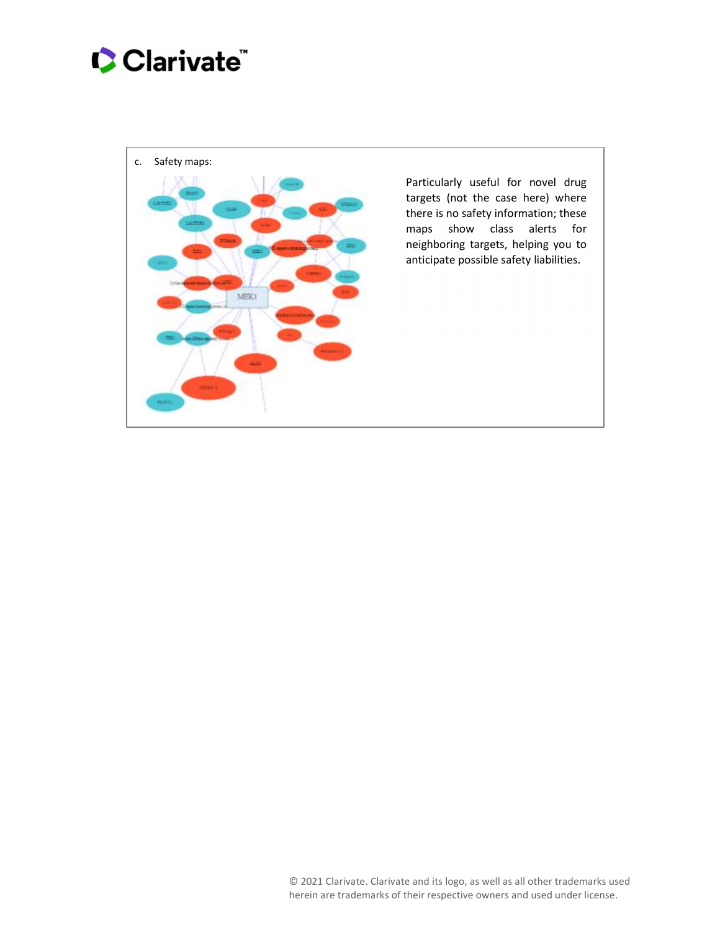